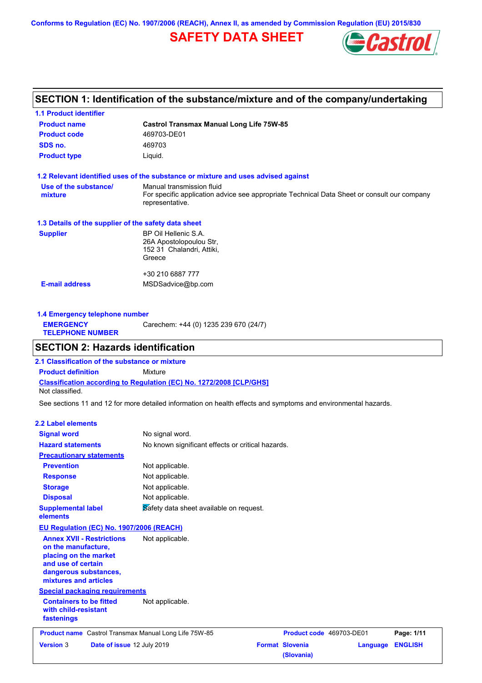**Conforms to Regulation (EC) No. 1907/2006 (REACH), Annex II, as amended by Commission Regulation (EU) 2015/830**

# **SAFETY DATA SHEET**



# **SECTION 1: Identification of the substance/mixture and of the company/undertaking**

| <b>1.1 Product identifier</b>                        |                                                                                                                                             |
|------------------------------------------------------|---------------------------------------------------------------------------------------------------------------------------------------------|
| <b>Product name</b>                                  | <b>Castrol Transmax Manual Long Life 75W-85</b>                                                                                             |
| <b>Product code</b>                                  | 469703-DE01                                                                                                                                 |
| SDS no.                                              | 469703                                                                                                                                      |
| <b>Product type</b>                                  | Liquid.                                                                                                                                     |
|                                                      | 1.2 Relevant identified uses of the substance or mixture and uses advised against                                                           |
| Use of the substance/<br>mixture                     | Manual transmission fluid<br>For specific application advice see appropriate Technical Data Sheet or consult our company<br>representative. |
| 1.3 Details of the supplier of the safety data sheet |                                                                                                                                             |
| <b>Supplier</b>                                      | BP Oil Hellenic S.A.<br>26A Apostolopoulou Str,<br>152 31 Chalandri, Attiki,<br>Greece                                                      |
|                                                      | +30 210 6887 777                                                                                                                            |
| <b>E-mail address</b>                                | MSDSadvice@bp.com                                                                                                                           |
|                                                      |                                                                                                                                             |

**1.4 Emergency telephone number EMERGENCY TELEPHONE NUMBER** Carechem: +44 (0) 1235 239 670 (24/7)

### **SECTION 2: Hazards identification**

**Classification according to Regulation (EC) No. 1272/2008 [CLP/GHS] 2.1 Classification of the substance or mixture Product definition** Mixture Not classified.

See sections 11 and 12 for more detailed information on health effects and symptoms and environmental hazards.

### **2.2 Label elements**

| <b>Version 3</b>                                                                                                                                         | Date of issue 12 July 2019               |                                                       | <b>Format Slovenia</b><br>(Slovania) | Language | <b>ENGLISH</b> |
|----------------------------------------------------------------------------------------------------------------------------------------------------------|------------------------------------------|-------------------------------------------------------|--------------------------------------|----------|----------------|
|                                                                                                                                                          |                                          | Product name Castrol Transmax Manual Long Life 75W-85 | Product code 469703-DE01             |          | Page: 1/11     |
| <b>Containers to be fitted</b><br>with child-resistant<br>fastenings                                                                                     | <b>Special packaging requirements</b>    | Not applicable.                                       |                                      |          |                |
| <b>Annex XVII - Restrictions</b><br>on the manufacture,<br>placing on the market<br>and use of certain<br>dangerous substances,<br>mixtures and articles |                                          | Not applicable.                                       |                                      |          |                |
|                                                                                                                                                          | EU Regulation (EC) No. 1907/2006 (REACH) |                                                       |                                      |          |                |
| <b>Supplemental label</b><br>elements                                                                                                                    |                                          | Safety data sheet available on request.               |                                      |          |                |
| <b>Disposal</b>                                                                                                                                          |                                          | Not applicable.                                       |                                      |          |                |
| <b>Storage</b>                                                                                                                                           |                                          | Not applicable.                                       |                                      |          |                |
| <b>Response</b>                                                                                                                                          |                                          | Not applicable.                                       |                                      |          |                |
| <b>Prevention</b>                                                                                                                                        |                                          | Not applicable.                                       |                                      |          |                |
| <b>Precautionary statements</b>                                                                                                                          |                                          |                                                       |                                      |          |                |
| <b>Hazard statements</b>                                                                                                                                 |                                          | No known significant effects or critical hazards.     |                                      |          |                |
| <b>Signal word</b>                                                                                                                                       |                                          | No signal word.                                       |                                      |          |                |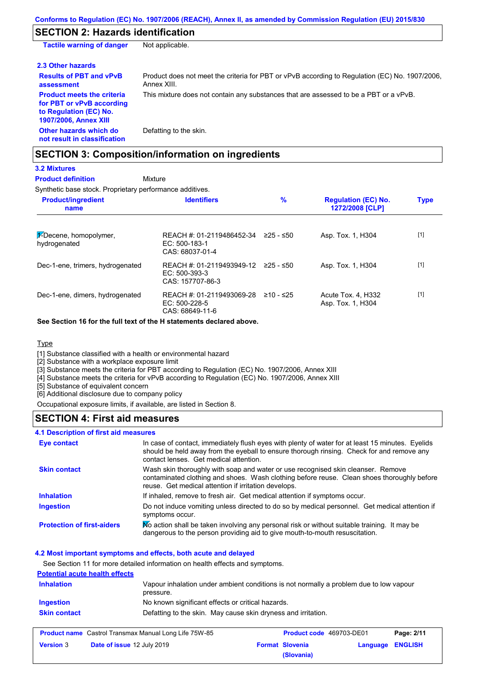# **SECTION 2: Hazards identification**

| <b>Tactile warning of danger</b>                                                                                         | Not applicable.                                                                                               |
|--------------------------------------------------------------------------------------------------------------------------|---------------------------------------------------------------------------------------------------------------|
| 2.3 Other hazards                                                                                                        |                                                                                                               |
| <b>Results of PBT and vPvB</b><br>assessment                                                                             | Product does not meet the criteria for PBT or vPvB according to Regulation (EC) No. 1907/2006,<br>Annex XIII. |
| <b>Product meets the criteria</b><br>for PBT or vPvB according<br>to Regulation (EC) No.<br><b>1907/2006, Annex XIII</b> | This mixture does not contain any substances that are assessed to be a PBT or a vPvB.                         |
| Other hazards which do<br>not result in classification                                                                   | Defatting to the skin.                                                                                        |

# **SECTION 3: Composition/information on ingredients**

# **3.2 Mixtures**

**Mixture Product definition**

### Synthetic base stock. Proprietary performance additives.

| <b>Product/ingredient</b><br>name      | <b>Identifiers</b>                                                         | $\frac{9}{6}$ | <b>Regulation (EC) No.</b><br>1272/2008 [CLP] | <b>Type</b> |
|----------------------------------------|----------------------------------------------------------------------------|---------------|-----------------------------------------------|-------------|
| 1-Decene, homopolymer,<br>hydrogenated | REACH #: 01-2119486452-34<br>EC: 500-183-1<br>CAS: 68037-01-4              | 225 - ≤50     | Asp. Tox. 1, H304                             | $[1]$       |
| Dec-1-ene, trimers, hydrogenated       | REACH #: 01-2119493949-12 ≥25 - ≤50<br>$EC: 500-393-3$<br>CAS: 157707-86-3 |               | Asp. Tox. 1, H304                             | $[1]$       |
| Dec-1-ene, dimers, hydrogenated        | REACH #: 01-2119493069-28<br>EC: 500-228-5<br>CAS: 68649-11-6              | ≥10 - ≤25     | Acute Tox. 4. H332<br>Asp. Tox. 1, H304       | $[1]$       |

**See Section 16 for the full text of the H statements declared above.**

### **Type**

[1] Substance classified with a health or environmental hazard

[2] Substance with a workplace exposure limit

[3] Substance meets the criteria for PBT according to Regulation (EC) No. 1907/2006, Annex XIII

[4] Substance meets the criteria for vPvB according to Regulation (EC) No. 1907/2006, Annex XIII

[5] Substance of equivalent concern

[6] Additional disclosure due to company policy

Occupational exposure limits, if available, are listed in Section 8.

### **SECTION 4: First aid measures**

### **4.1 Description of first aid measures**

| <b>Eye contact</b>                | In case of contact, immediately flush eyes with plenty of water for at least 15 minutes. Eyelids<br>should be held away from the eyeball to ensure thorough rinsing. Check for and remove any<br>contact lenses. Get medical attention. |
|-----------------------------------|-----------------------------------------------------------------------------------------------------------------------------------------------------------------------------------------------------------------------------------------|
| <b>Skin contact</b>               | Wash skin thoroughly with soap and water or use recognised skin cleanser. Remove<br>contaminated clothing and shoes. Wash clothing before reuse. Clean shoes thoroughly before<br>reuse. Get medical attention if irritation develops.  |
| <b>Inhalation</b>                 | If inhaled, remove to fresh air. Get medical attention if symptoms occur.                                                                                                                                                               |
| <b>Ingestion</b>                  | Do not induce vomiting unless directed to do so by medical personnel. Get medical attention if<br>symptoms occur.                                                                                                                       |
| <b>Protection of first-aiders</b> | No action shall be taken involving any personal risk or without suitable training. It may be<br>dangerous to the person providing aid to give mouth-to-mouth resuscitation.                                                             |

### **4.2 Most important symptoms and effects, both acute and delayed**

See Section 11 for more detailed information on health effects and symptoms.

### **Potential acute health effects**

| <b>Inhalation</b>   | pressure.                                                     | Vapour inhalation under ambient conditions is not normally a problem due to low vapour |            |
|---------------------|---------------------------------------------------------------|----------------------------------------------------------------------------------------|------------|
| Ingestion           | No known significant effects or critical hazards.             |                                                                                        |            |
| <b>Skin contact</b> | Defatting to the skin. May cause skin dryness and irritation. |                                                                                        |            |
|                     | <b>Product name</b> Castrol Transmax Manual Long Life 75W-85  | <b>Product code</b> 469703-DE01                                                        | Page: 2/11 |

| <b>Product name</b> Castrol Transmax Manual Long Life 75W-85 |                                   | <b>Product code</b> 469703-DE01 |                        | Page: 2/11       |  |
|--------------------------------------------------------------|-----------------------------------|---------------------------------|------------------------|------------------|--|
| <b>Version</b> 3                                             | <b>Date of issue 12 July 2019</b> |                                 | <b>Format Slovenia</b> | Language ENGLISH |  |
|                                                              |                                   |                                 | (Slovania)             |                  |  |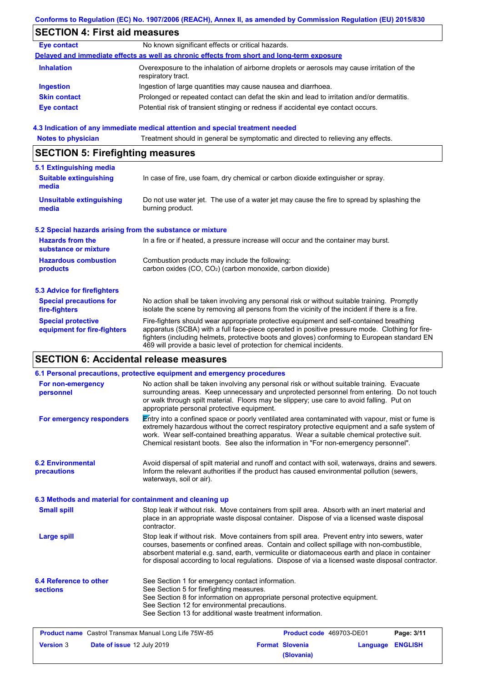# **SECTION 4: First aid measures**

| <b>Eye contact</b>  | No known significant effects or critical hazards.                                                                 |
|---------------------|-------------------------------------------------------------------------------------------------------------------|
|                     | Delayed and immediate effects as well as chronic effects from short and long-term exposure                        |
| <b>Inhalation</b>   | Overexposure to the inhalation of airborne droplets or aerosols may cause irritation of the<br>respiratory tract. |
| <b>Ingestion</b>    | Ingestion of large quantities may cause nausea and diarrhoea.                                                     |
| <b>Skin contact</b> | Prolonged or repeated contact can defat the skin and lead to irritation and/or dermatitis.                        |
| <b>Eye contact</b>  | Potential risk of transient stinging or redness if accidental eye contact occurs.                                 |
|                     |                                                                                                                   |

### **4.3 Indication of any immediate medical attention and special treatment needed**

**Notes to physician** Treatment should in general be symptomatic and directed to relieving any effects.

# **SECTION 5: Firefighting measures**

| 5.1 Extinguishing media                                   |                                                                                                                                                                                                                                                                                                                                                                   |
|-----------------------------------------------------------|-------------------------------------------------------------------------------------------------------------------------------------------------------------------------------------------------------------------------------------------------------------------------------------------------------------------------------------------------------------------|
| <b>Suitable extinguishing</b><br>media                    | In case of fire, use foam, dry chemical or carbon dioxide extinguisher or spray.                                                                                                                                                                                                                                                                                  |
| Unsuitable extinguishing<br>media                         | Do not use water jet. The use of a water jet may cause the fire to spread by splashing the<br>burning product.                                                                                                                                                                                                                                                    |
| 5.2 Special hazards arising from the substance or mixture |                                                                                                                                                                                                                                                                                                                                                                   |
| <b>Hazards from the</b><br>substance or mixture           | In a fire or if heated, a pressure increase will occur and the container may burst.                                                                                                                                                                                                                                                                               |
| <b>Hazardous combustion</b><br>products                   | Combustion products may include the following:<br>carbon oxides (CO, CO <sub>2</sub> ) (carbon monoxide, carbon dioxide)                                                                                                                                                                                                                                          |
| 5.3 Advice for firefighters                               |                                                                                                                                                                                                                                                                                                                                                                   |
| <b>Special precautions for</b><br>fire-fighters           | No action shall be taken involving any personal risk or without suitable training. Promptly<br>isolate the scene by removing all persons from the vicinity of the incident if there is a fire.                                                                                                                                                                    |
| <b>Special protective</b><br>equipment for fire-fighters  | Fire-fighters should wear appropriate protective equipment and self-contained breathing<br>apparatus (SCBA) with a full face-piece operated in positive pressure mode. Clothing for fire-<br>fighters (including helmets, protective boots and gloves) conforming to European standard EN<br>469 will provide a basic level of protection for chemical incidents. |

# **SECTION 6: Accidental release measures**

|                                                              | 6.1 Personal precautions, protective equipment and emergency procedures                                                                                                                                                                                                                                                                                                                        |                          |          |                |
|--------------------------------------------------------------|------------------------------------------------------------------------------------------------------------------------------------------------------------------------------------------------------------------------------------------------------------------------------------------------------------------------------------------------------------------------------------------------|--------------------------|----------|----------------|
| For non-emergency<br>personnel                               | No action shall be taken involving any personal risk or without suitable training. Evacuate<br>surrounding areas. Keep unnecessary and unprotected personnel from entering. Do not touch<br>or walk through spilt material. Floors may be slippery; use care to avoid falling. Put on<br>appropriate personal protective equipment.                                                            |                          |          |                |
| For emergency responders                                     | Entry into a confined space or poorly ventilated area contaminated with vapour, mist or fume is<br>extremely hazardous without the correct respiratory protective equipment and a safe system of<br>work. Wear self-contained breathing apparatus. Wear a suitable chemical protective suit.<br>Chemical resistant boots. See also the information in "For non-emergency personnel".           |                          |          |                |
| <b>6.2 Environmental</b><br>precautions                      | Avoid dispersal of spilt material and runoff and contact with soil, waterways, drains and sewers.<br>Inform the relevant authorities if the product has caused environmental pollution (sewers,<br>waterways, soil or air).                                                                                                                                                                    |                          |          |                |
| 6.3 Methods and material for containment and cleaning up     |                                                                                                                                                                                                                                                                                                                                                                                                |                          |          |                |
| <b>Small spill</b>                                           | Stop leak if without risk. Move containers from spill area. Absorb with an inert material and<br>place in an appropriate waste disposal container. Dispose of via a licensed waste disposal<br>contractor.                                                                                                                                                                                     |                          |          |                |
| <b>Large spill</b>                                           | Stop leak if without risk. Move containers from spill area. Prevent entry into sewers, water<br>courses, basements or confined areas. Contain and collect spillage with non-combustible,<br>absorbent material e.g. sand, earth, vermiculite or diatomaceous earth and place in container<br>for disposal according to local regulations. Dispose of via a licensed waste disposal contractor. |                          |          |                |
| <b>6.4 Reference to other</b><br><b>sections</b>             | See Section 1 for emergency contact information.<br>See Section 5 for firefighting measures.<br>See Section 8 for information on appropriate personal protective equipment.<br>See Section 12 for environmental precautions.<br>See Section 13 for additional waste treatment information.                                                                                                     |                          |          |                |
| <b>Product name</b> Castrol Transmax Manual Long Life 75W-85 |                                                                                                                                                                                                                                                                                                                                                                                                | Product code 469703-DE01 |          | Page: 3/11     |
| <b>Version 3</b><br>Date of issue 12 July 2019               |                                                                                                                                                                                                                                                                                                                                                                                                | <b>Format Slovenia</b>   | Language | <b>ENGLISH</b> |
|                                                              |                                                                                                                                                                                                                                                                                                                                                                                                | (Slovania)               |          |                |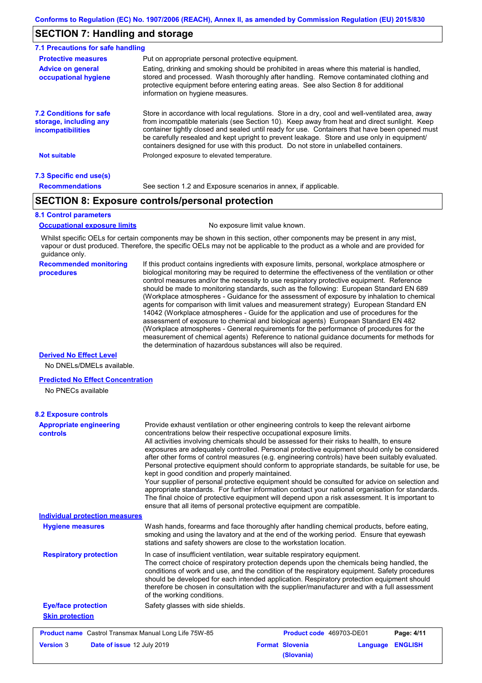# **SECTION 7: Handling and storage**

| 7.1 Precautions for safe handling                                                    |                                                                                                                                                                                                                                                                                                                                                                                                                                                                                          |
|--------------------------------------------------------------------------------------|------------------------------------------------------------------------------------------------------------------------------------------------------------------------------------------------------------------------------------------------------------------------------------------------------------------------------------------------------------------------------------------------------------------------------------------------------------------------------------------|
| <b>Protective measures</b>                                                           | Put on appropriate personal protective equipment.                                                                                                                                                                                                                                                                                                                                                                                                                                        |
| <b>Advice on general</b><br>occupational hygiene                                     | Eating, drinking and smoking should be prohibited in areas where this material is handled.<br>stored and processed. Wash thoroughly after handling. Remove contaminated clothing and<br>protective equipment before entering eating areas. See also Section 8 for additional<br>information on hygiene measures.                                                                                                                                                                         |
| <b>7.2 Conditions for safe</b><br>storage, including any<br><i>incompatibilities</i> | Store in accordance with local requiations. Store in a dry, cool and well-ventilated area, away<br>from incompatible materials (see Section 10). Keep away from heat and direct sunlight. Keep<br>container tightly closed and sealed until ready for use. Containers that have been opened must<br>be carefully resealed and kept upright to prevent leakage. Store and use only in equipment/<br>containers designed for use with this product. Do not store in unlabelled containers. |
| <b>Not suitable</b>                                                                  | Prolonged exposure to elevated temperature.                                                                                                                                                                                                                                                                                                                                                                                                                                              |
| 7.3 Specific end use(s)                                                              |                                                                                                                                                                                                                                                                                                                                                                                                                                                                                          |
| <b>Recommendations</b>                                                               | See section 1.2 and Exposure scenarios in annex, if applicable.                                                                                                                                                                                                                                                                                                                                                                                                                          |

# **SECTION 8: Exposure controls/personal protection**

#### **8.1 Control parameters**

**Occupational exposure limits** No exposure limit value known.

Whilst specific OELs for certain components may be shown in this section, other components may be present in any mist, vapour or dust produced. Therefore, the specific OELs may not be applicable to the product as a whole and are provided for guidance only.

#### **Recommended monitoring procedures**

If this product contains ingredients with exposure limits, personal, workplace atmosphere or biological monitoring may be required to determine the effectiveness of the ventilation or other control measures and/or the necessity to use respiratory protective equipment. Reference should be made to monitoring standards, such as the following: European Standard EN 689 (Workplace atmospheres - Guidance for the assessment of exposure by inhalation to chemical agents for comparison with limit values and measurement strategy) European Standard EN 14042 (Workplace atmospheres - Guide for the application and use of procedures for the assessment of exposure to chemical and biological agents) European Standard EN 482 (Workplace atmospheres - General requirements for the performance of procedures for the measurement of chemical agents) Reference to national guidance documents for methods for the determination of hazardous substances will also be required.

### **Derived No Effect Level**

No DNELs/DMELs available.

#### **Predicted No Effect Concentration**

No PNECs available

| <b>Appropriate engineering</b><br>controls                   | Provide exhaust ventilation or other engineering controls to keep the relevant airborne<br>concentrations below their respective occupational exposure limits.<br>All activities involving chemicals should be assessed for their risks to health, to ensure<br>exposures are adequately controlled. Personal protective equipment should only be considered<br>after other forms of control measures (e.g. engineering controls) have been suitably evaluated.<br>Personal protective equipment should conform to appropriate standards, be suitable for use, be<br>kept in good condition and properly maintained.<br>Your supplier of personal protective equipment should be consulted for advice on selection and<br>appropriate standards. For further information contact your national organisation for standards.<br>The final choice of protective equipment will depend upon a risk assessment. It is important to<br>ensure that all items of personal protective equipment are compatible. |
|--------------------------------------------------------------|---------------------------------------------------------------------------------------------------------------------------------------------------------------------------------------------------------------------------------------------------------------------------------------------------------------------------------------------------------------------------------------------------------------------------------------------------------------------------------------------------------------------------------------------------------------------------------------------------------------------------------------------------------------------------------------------------------------------------------------------------------------------------------------------------------------------------------------------------------------------------------------------------------------------------------------------------------------------------------------------------------|
| <b>Individual protection measures</b>                        |                                                                                                                                                                                                                                                                                                                                                                                                                                                                                                                                                                                                                                                                                                                                                                                                                                                                                                                                                                                                         |
| <b>Hygiene measures</b>                                      | Wash hands, forearms and face thoroughly after handling chemical products, before eating,<br>smoking and using the lavatory and at the end of the working period. Ensure that eyewash<br>stations and safety showers are close to the workstation location.                                                                                                                                                                                                                                                                                                                                                                                                                                                                                                                                                                                                                                                                                                                                             |
| <b>Respiratory protection</b>                                | In case of insufficient ventilation, wear suitable respiratory equipment.<br>The correct choice of respiratory protection depends upon the chemicals being handled, the<br>conditions of work and use, and the condition of the respiratory equipment. Safety procedures<br>should be developed for each intended application. Respiratory protection equipment should<br>therefore be chosen in consultation with the supplier/manufacturer and with a full assessment<br>of the working conditions.                                                                                                                                                                                                                                                                                                                                                                                                                                                                                                   |
| <b>Eye/face protection</b>                                   | Safety glasses with side shields.                                                                                                                                                                                                                                                                                                                                                                                                                                                                                                                                                                                                                                                                                                                                                                                                                                                                                                                                                                       |
| <b>Skin protection</b>                                       |                                                                                                                                                                                                                                                                                                                                                                                                                                                                                                                                                                                                                                                                                                                                                                                                                                                                                                                                                                                                         |
| <b>Product name</b> Castrol Transmax Manual Long Life 75W-85 | Product code 469703-DE01<br>Page: 4/11                                                                                                                                                                                                                                                                                                                                                                                                                                                                                                                                                                                                                                                                                                                                                                                                                                                                                                                                                                  |
| <b>Version 3</b><br>Date of issue 12 July 2019               | <b>Format Slovenia</b><br><b>ENGLISH</b><br>Language<br>(Slovania)                                                                                                                                                                                                                                                                                                                                                                                                                                                                                                                                                                                                                                                                                                                                                                                                                                                                                                                                      |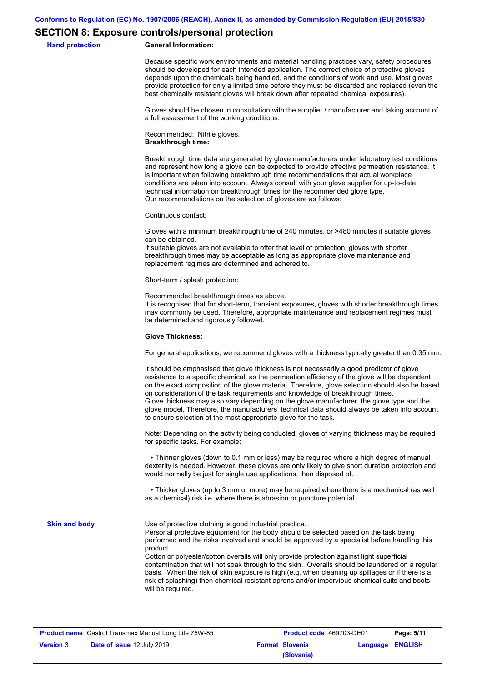### **SECTION 8: Exposure controls/personal protection**

**Hand protection** 

|  | <b>General Information:</b> |
|--|-----------------------------|
|--|-----------------------------|

Because specific work environments and material handling practices vary, safety procedures should be developed for each intended application. The correct choice of protective gloves depends upon the chemicals being handled, and the conditions of work and use. Most gloves provide protection for only a limited time before they must be discarded and replaced (even the best chemically resistant gloves will break down after repeated chemical exposures).

Gloves should be chosen in consultation with the supplier / manufacturer and taking account of a full assessment of the working conditions.

Recommended: Nitrile gloves. **Breakthrough time:**

Breakthrough time data are generated by glove manufacturers under laboratory test conditions and represent how long a glove can be expected to provide effective permeation resistance. It is important when following breakthrough time recommendations that actual workplace conditions are taken into account. Always consult with your glove supplier for up-to-date technical information on breakthrough times for the recommended glove type. Our recommendations on the selection of gloves are as follows:

Continuous contact:

Gloves with a minimum breakthrough time of 240 minutes, or >480 minutes if suitable gloves can be obtained.

If suitable gloves are not available to offer that level of protection, gloves with shorter breakthrough times may be acceptable as long as appropriate glove maintenance and replacement regimes are determined and adhered to.

Short-term / splash protection:

Recommended breakthrough times as above.

It is recognised that for short-term, transient exposures, gloves with shorter breakthrough times may commonly be used. Therefore, appropriate maintenance and replacement regimes must be determined and rigorously followed.

#### **Glove Thickness:**

For general applications, we recommend gloves with a thickness typically greater than 0.35 mm.

It should be emphasised that glove thickness is not necessarily a good predictor of glove resistance to a specific chemical, as the permeation efficiency of the glove will be dependent on the exact composition of the glove material. Therefore, glove selection should also be based on consideration of the task requirements and knowledge of breakthrough times. Glove thickness may also vary depending on the glove manufacturer, the glove type and the glove model. Therefore, the manufacturers' technical data should always be taken into account to ensure selection of the most appropriate glove for the task.

Note: Depending on the activity being conducted, gloves of varying thickness may be required for specific tasks. For example:

 • Thinner gloves (down to 0.1 mm or less) may be required where a high degree of manual dexterity is needed. However, these gloves are only likely to give short duration protection and would normally be just for single use applications, then disposed of.

 • Thicker gloves (up to 3 mm or more) may be required where there is a mechanical (as well as a chemical) risk i.e. where there is abrasion or puncture potential.

**Skin and body**

Use of protective clothing is good industrial practice.

Personal protective equipment for the body should be selected based on the task being performed and the risks involved and should be approved by a specialist before handling this product.

Cotton or polyester/cotton overalls will only provide protection against light superficial contamination that will not soak through to the skin. Overalls should be laundered on a regular basis. When the risk of skin exposure is high (e.g. when cleaning up spillages or if there is a risk of splashing) then chemical resistant aprons and/or impervious chemical suits and boots will be required.

| <b>Product name</b> Castrol Transmax Manual Long Life 75W-85 |                                   | <b>Product code</b> 469703-DE01 |                        | Page: 5/11              |  |
|--------------------------------------------------------------|-----------------------------------|---------------------------------|------------------------|-------------------------|--|
| <b>Version 3</b>                                             | <b>Date of issue 12 July 2019</b> |                                 | <b>Format Slovenia</b> | <b>Language ENGLISH</b> |  |
|                                                              |                                   |                                 | (Slovania)             |                         |  |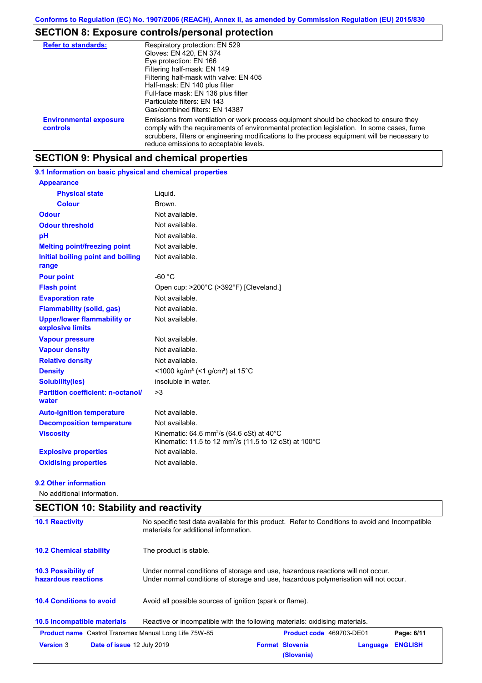# **SECTION 8: Exposure controls/personal protection**

| <b>Refer to standards:</b>                | Respiratory protection: EN 529<br>Gloves: EN 420, EN 374<br>Eye protection: EN 166<br>Filtering half-mask: EN 149<br>Filtering half-mask with valve: EN 405<br>Half-mask: EN 140 plus filter<br>Full-face mask: EN 136 plus filter<br>Particulate filters: EN 143<br>Gas/combined filters: EN 14387                           |
|-------------------------------------------|-------------------------------------------------------------------------------------------------------------------------------------------------------------------------------------------------------------------------------------------------------------------------------------------------------------------------------|
| <b>Environmental exposure</b><br>controls | Emissions from ventilation or work process equipment should be checked to ensure they<br>comply with the requirements of environmental protection legislation. In some cases, fume<br>scrubbers, filters or engineering modifications to the process equipment will be necessary to<br>reduce emissions to acceptable levels. |

# **SECTION 9: Physical and chemical properties**

**9.1 Information on basic physical and chemical properties**

| <b>Appearance</b>                                      |                                                                                                                                        |
|--------------------------------------------------------|----------------------------------------------------------------------------------------------------------------------------------------|
| <b>Physical state</b>                                  | Liquid.                                                                                                                                |
| <b>Colour</b>                                          | Brown.                                                                                                                                 |
| <b>Odour</b>                                           | Not available.                                                                                                                         |
| <b>Odour threshold</b>                                 | Not available.                                                                                                                         |
| pH                                                     | Not available.                                                                                                                         |
| <b>Melting point/freezing point</b>                    | Not available.                                                                                                                         |
| Initial boiling point and boiling<br>range             | Not available.                                                                                                                         |
| <b>Pour point</b>                                      | $-60 °C$                                                                                                                               |
| <b>Flash point</b>                                     | Open cup: >200°C (>392°F) [Cleveland.]                                                                                                 |
| <b>Evaporation rate</b>                                | Not available.                                                                                                                         |
| <b>Flammability (solid, gas)</b>                       | Not available.                                                                                                                         |
| <b>Upper/lower flammability or</b><br>explosive limits | Not available.                                                                                                                         |
| <b>Vapour pressure</b>                                 | Not available.                                                                                                                         |
| <b>Vapour density</b>                                  | Not available.                                                                                                                         |
| <b>Relative density</b>                                | Not available.                                                                                                                         |
| <b>Density</b>                                         | <1000 kg/m <sup>3</sup> (<1 g/cm <sup>3</sup> ) at 15 <sup>°</sup> C                                                                   |
| Solubility(ies)                                        | insoluble in water.                                                                                                                    |
| <b>Partition coefficient: n-octanol/</b><br>water      | >3                                                                                                                                     |
| <b>Auto-ignition temperature</b>                       | Not available.                                                                                                                         |
| <b>Decomposition temperature</b>                       | Not available.                                                                                                                         |
| <b>Viscosity</b>                                       | Kinematic: 64.6 mm <sup>2</sup> /s (64.6 cSt) at 40 $^{\circ}$ C<br>Kinematic: 11.5 to 12 mm <sup>2</sup> /s (11.5 to 12 cSt) at 100°C |
| <b>Explosive properties</b>                            | Not available.                                                                                                                         |
| <b>Oxidising properties</b>                            | Not available.                                                                                                                         |

### **9.2 Other information**

No additional information.

| <b>SECTION 10: Stability and reactivity</b>                  |                                                                                                                                                                         |                                                                                                                                          |          |                |  |
|--------------------------------------------------------------|-------------------------------------------------------------------------------------------------------------------------------------------------------------------------|------------------------------------------------------------------------------------------------------------------------------------------|----------|----------------|--|
| <b>10.1 Reactivity</b>                                       |                                                                                                                                                                         | No specific test data available for this product. Refer to Conditions to avoid and Incompatible<br>materials for additional information. |          |                |  |
| <b>10.2 Chemical stability</b>                               | The product is stable.                                                                                                                                                  |                                                                                                                                          |          |                |  |
| 10.3 Possibility of<br>hazardous reactions                   | Under normal conditions of storage and use, hazardous reactions will not occur.<br>Under normal conditions of storage and use, hazardous polymerisation will not occur. |                                                                                                                                          |          |                |  |
| <b>10.4 Conditions to avoid</b>                              | Avoid all possible sources of ignition (spark or flame).                                                                                                                |                                                                                                                                          |          |                |  |
| 10.5 Incompatible materials                                  | Reactive or incompatible with the following materials: oxidising materials.                                                                                             |                                                                                                                                          |          |                |  |
| <b>Product name</b> Castrol Transmax Manual Long Life 75W-85 |                                                                                                                                                                         | <b>Product code</b> 469703-DE01                                                                                                          |          | Page: 6/11     |  |
| <b>Version 3</b><br>Date of issue 12 July 2019               |                                                                                                                                                                         | <b>Format Slovenia</b><br>(Slovania)                                                                                                     | Language | <b>ENGLISH</b> |  |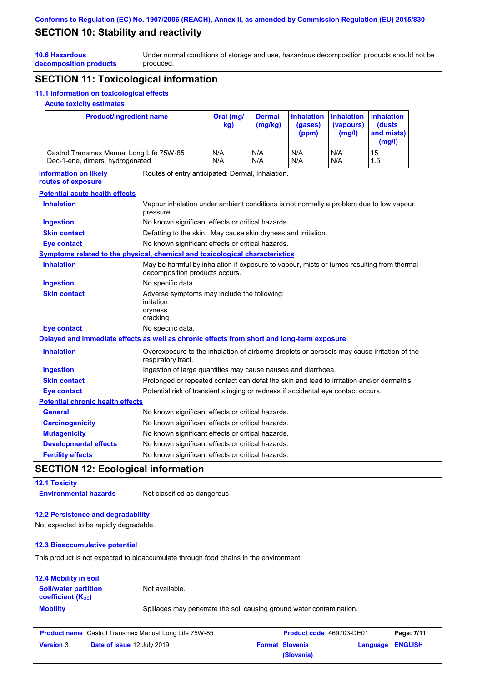# **SECTION 10: Stability and reactivity**

Under normal conditions of storage and use, hazardous decomposition products should not be produced.

# **decomposition products SECTION 11: Toxicological information**

# **11.1 Information on toxicological effects**

### **Acute toxicity estimates**

**10.6 Hazardous** 

| <b>Product/ingredient name</b>                                                                                                                   |                                                                                                                   | Oral (mg/<br>kg)                                                                                                            | <b>Dermal</b><br>(mg/kg) | <b>Inhalation</b><br>(gases)<br>(ppm) | <b>Inhalation</b><br>(vapours)<br>(mg/l) | <b>Inhalation</b><br>(dusts<br>and mists)<br>(mg/l) |
|--------------------------------------------------------------------------------------------------------------------------------------------------|-------------------------------------------------------------------------------------------------------------------|-----------------------------------------------------------------------------------------------------------------------------|--------------------------|---------------------------------------|------------------------------------------|-----------------------------------------------------|
| N/A<br>N/A<br>N/A<br>N/A<br>15<br>Castrol Transmax Manual Long Life 75W-85<br>Dec-1-ene, dimers, hydrogenated<br>N/A<br>N/A<br>N/A<br>N/A<br>1.5 |                                                                                                                   |                                                                                                                             |                          |                                       |                                          |                                                     |
| <b>Information on likely</b><br>routes of exposure                                                                                               |                                                                                                                   | Routes of entry anticipated: Dermal, Inhalation.                                                                            |                          |                                       |                                          |                                                     |
| <b>Potential acute health effects</b>                                                                                                            |                                                                                                                   |                                                                                                                             |                          |                                       |                                          |                                                     |
| <b>Inhalation</b>                                                                                                                                | Vapour inhalation under ambient conditions is not normally a problem due to low vapour<br>pressure.               |                                                                                                                             |                          |                                       |                                          |                                                     |
| <b>Ingestion</b>                                                                                                                                 | No known significant effects or critical hazards.                                                                 |                                                                                                                             |                          |                                       |                                          |                                                     |
| <b>Skin contact</b>                                                                                                                              | Defatting to the skin. May cause skin dryness and irritation.                                                     |                                                                                                                             |                          |                                       |                                          |                                                     |
| <b>Eye contact</b>                                                                                                                               |                                                                                                                   | No known significant effects or critical hazards.                                                                           |                          |                                       |                                          |                                                     |
|                                                                                                                                                  | Symptoms related to the physical, chemical and toxicological characteristics                                      |                                                                                                                             |                          |                                       |                                          |                                                     |
| <b>Inhalation</b>                                                                                                                                |                                                                                                                   | May be harmful by inhalation if exposure to vapour, mists or fumes resulting from thermal<br>decomposition products occurs. |                          |                                       |                                          |                                                     |
| <b>Ingestion</b>                                                                                                                                 | No specific data.                                                                                                 |                                                                                                                             |                          |                                       |                                          |                                                     |
| <b>Skin contact</b>                                                                                                                              | Adverse symptoms may include the following:<br>irritation<br>dryness<br>cracking                                  |                                                                                                                             |                          |                                       |                                          |                                                     |
| <b>Eye contact</b>                                                                                                                               | No specific data.                                                                                                 |                                                                                                                             |                          |                                       |                                          |                                                     |
| Delayed and immediate effects as well as chronic effects from short and long-term exposure                                                       |                                                                                                                   |                                                                                                                             |                          |                                       |                                          |                                                     |
| <b>Inhalation</b>                                                                                                                                | Overexposure to the inhalation of airborne droplets or aerosols may cause irritation of the<br>respiratory tract. |                                                                                                                             |                          |                                       |                                          |                                                     |
| <b>Ingestion</b>                                                                                                                                 | Ingestion of large quantities may cause nausea and diarrhoea.                                                     |                                                                                                                             |                          |                                       |                                          |                                                     |
| <b>Skin contact</b>                                                                                                                              | Prolonged or repeated contact can defat the skin and lead to irritation and/or dermatitis.                        |                                                                                                                             |                          |                                       |                                          |                                                     |
| <b>Eye contact</b>                                                                                                                               | Potential risk of transient stinging or redness if accidental eye contact occurs.                                 |                                                                                                                             |                          |                                       |                                          |                                                     |
| <b>Potential chronic health effects</b>                                                                                                          |                                                                                                                   |                                                                                                                             |                          |                                       |                                          |                                                     |
| <b>General</b>                                                                                                                                   | No known significant effects or critical hazards.                                                                 |                                                                                                                             |                          |                                       |                                          |                                                     |
| <b>Carcinogenicity</b>                                                                                                                           | No known significant effects or critical hazards.                                                                 |                                                                                                                             |                          |                                       |                                          |                                                     |
| <b>Mutagenicity</b>                                                                                                                              | No known significant effects or critical hazards.                                                                 |                                                                                                                             |                          |                                       |                                          |                                                     |
| <b>Developmental effects</b>                                                                                                                     |                                                                                                                   | No known significant effects or critical hazards.                                                                           |                          |                                       |                                          |                                                     |
| <b>Fertility effects</b>                                                                                                                         |                                                                                                                   | No known significant effects or critical hazards.                                                                           |                          |                                       |                                          |                                                     |

# **SECTION 12: Ecological information**

### **12.1 Toxicity**

**Environmental hazards** Not classified as dangerous

### **12.2 Persistence and degradability**

Not expected to be rapidly degradable.

### **12.3 Bioaccumulative potential**

This product is not expected to bioaccumulate through food chains in the environment.

| <b>12.4 Mobility in soil</b>                                  |                                                                      |
|---------------------------------------------------------------|----------------------------------------------------------------------|
| <b>Soil/water partition</b><br>coefficient (K <sub>oc</sub> ) | Not available.                                                       |
| <b>Mobility</b>                                               | Spillages may penetrate the soil causing ground water contamination. |

| <b>Product name</b> Castrol Transmax Manual Long Life 75W-85 |                                   | <b>Product code</b> 469703-DE01 |                        | Page: 7/11       |  |
|--------------------------------------------------------------|-----------------------------------|---------------------------------|------------------------|------------------|--|
| <b>Version 3</b>                                             | <b>Date of issue 12 July 2019</b> |                                 | <b>Format Slovenia</b> | Language ENGLISH |  |
|                                                              |                                   |                                 | (Slovania)             |                  |  |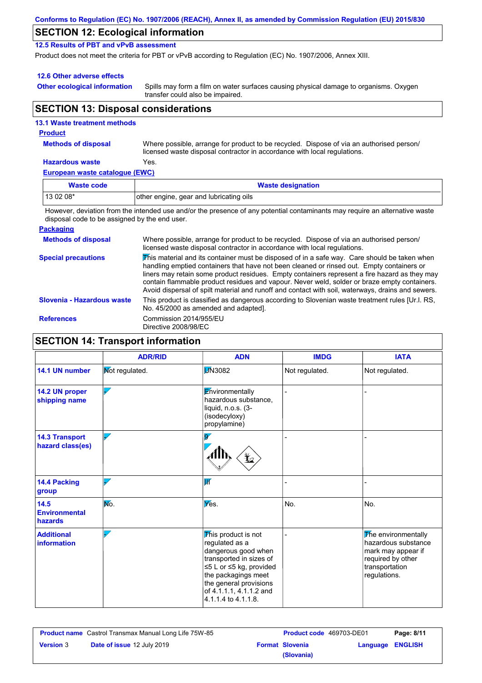| Conforms to Regulation (EC) No. 1907/2006 (REACH), Annex II, as amended by Commission Regulation (EU) 2015/830 |  |
|----------------------------------------------------------------------------------------------------------------|--|
|----------------------------------------------------------------------------------------------------------------|--|

# **SECTION 12: Ecological information**

**12.5 Results of PBT and vPvB assessment**

Product does not meet the criteria for PBT or vPvB according to Regulation (EC) No. 1907/2006, Annex XIII.

### **12.6 Other adverse effects**

**Other ecological information**

Spills may form a film on water surfaces causing physical damage to organisms. Oxygen transfer could also be impaired.

# **SECTION 13: Disposal considerations**

### **European waste catalogue (EWC) Hazardous waste** Yes. Where possible, arrange for product to be recycled. Dispose of via an authorised person/ licensed waste disposal contractor in accordance with local regulations. **Methods of disposal 13.1 Waste treatment methods Product Waste code Waste designation**

| $130208*$ | other engine, gear and lubricating oils                                                                                     |
|-----------|-----------------------------------------------------------------------------------------------------------------------------|
|           | However, deviation from the intended use and/or the presence of any potential contaminants may require an alternative waste |

disposal code to be assigned by the end user.

### **Packaging**

| <b>Methods of disposal</b> | Where possible, arrange for product to be recycled. Dispose of via an authorised person/<br>licensed waste disposal contractor in accordance with local regulations.                                                                                                                                                                                                                                                                                                                            |
|----------------------------|-------------------------------------------------------------------------------------------------------------------------------------------------------------------------------------------------------------------------------------------------------------------------------------------------------------------------------------------------------------------------------------------------------------------------------------------------------------------------------------------------|
| <b>Special precautions</b> | This material and its container must be disposed of in a safe way. Care should be taken when<br>handling emptied containers that have not been cleaned or rinsed out. Empty containers or<br>liners may retain some product residues. Empty containers represent a fire hazard as they may<br>contain flammable product residues and vapour. Never weld, solder or braze empty containers.<br>Avoid dispersal of spilt material and runoff and contact with soil, waterways, drains and sewers. |
| Slovenia - Hazardous waste | This product is classified as dangerous according to Slovenian waste treatment rules [Ur.l. RS.]<br>No. 45/2000 as amended and adapted].                                                                                                                                                                                                                                                                                                                                                        |
| <b>References</b>          | Commission 2014/955/EU<br>Directive 2008/98/EC                                                                                                                                                                                                                                                                                                                                                                                                                                                  |

# **SECTION 14: Transport information**

|                                           | <b>ADR/RID</b> | <b>ADN</b>                                                                                                                                                                                                            | <b>IMDG</b>    | <b>IATA</b>                                                                                                             |
|-------------------------------------------|----------------|-----------------------------------------------------------------------------------------------------------------------------------------------------------------------------------------------------------------------|----------------|-------------------------------------------------------------------------------------------------------------------------|
| 14.1 UN number                            | Mot regulated. | <b>JN3082</b>                                                                                                                                                                                                         | Not regulated. | Not regulated.                                                                                                          |
| 14.2 UN proper<br>shipping name           |                | Environmentally<br>hazardous substance,<br>liquid, n.o.s. (3-<br>(isodecyloxy)<br>propylamine)                                                                                                                        |                |                                                                                                                         |
| <b>14.3 Transport</b><br>hazard class(es) |                | $\overline{\mathsf{Q}'}$                                                                                                                                                                                              |                |                                                                                                                         |
| <b>14.4 Packing</b><br>group              |                | lи                                                                                                                                                                                                                    |                |                                                                                                                         |
| $14.5$<br><b>Environmental</b><br>hazards | No.            | Yes.                                                                                                                                                                                                                  | No.            | No.                                                                                                                     |
| <b>Additional</b><br>information          |                | This product is not<br>regulated as a<br>dangerous good when<br>transported in sizes of<br>≤5 L or ≤5 kg, provided<br>the packagings meet<br>the general provisions<br>of 4.1.1.1, 4.1.1.2 and<br>4.1.1.4 to 4.1.1.8. |                | The environmentally<br>hazardous substance<br>mark may appear if<br>required by other<br>transportation<br>regulations. |

|                  | <b>Product name</b> Castrol Transmax Manual Long Life 75W-85 | <b>Product code</b> 469703-DE01 |                  | Page: 8/11 |
|------------------|--------------------------------------------------------------|---------------------------------|------------------|------------|
| <b>Version 3</b> | <b>Date of issue 12 July 2019</b>                            | <b>Format Slovenia</b>          | Language ENGLISH |            |
|                  |                                                              | (Slovania)                      |                  |            |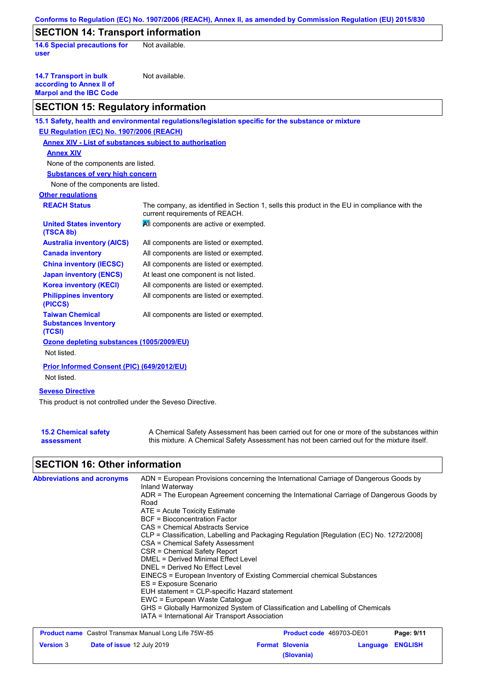|                                                                                             | Conforms to Regulation (EC) No. 1907/2006 (REACH), Annex II, as amended by Commission Regulation (EU) 2015/830                 |
|---------------------------------------------------------------------------------------------|--------------------------------------------------------------------------------------------------------------------------------|
| <b>SECTION 14: Transport information</b>                                                    |                                                                                                                                |
| <b>14.6 Special precautions for</b><br>user                                                 | Not available.                                                                                                                 |
| <b>14.7 Transport in bulk</b><br>according to Annex II of<br><b>Marpol and the IBC Code</b> | Not available.                                                                                                                 |
| <b>SECTION 15: Regulatory information</b>                                                   |                                                                                                                                |
|                                                                                             | 15.1 Safety, health and environmental regulations/legislation specific for the substance or mixture                            |
| <b>EU Regulation (EC) No. 1907/2006 (REACH)</b>                                             |                                                                                                                                |
| <b>Annex XIV - List of substances subject to authorisation</b>                              |                                                                                                                                |
| <b>Annex XIV</b>                                                                            |                                                                                                                                |
| None of the components are listed.                                                          |                                                                                                                                |
| <b>Substances of very high concern</b>                                                      |                                                                                                                                |
| None of the components are listed.                                                          |                                                                                                                                |
| <b>Other regulations</b>                                                                    |                                                                                                                                |
| <b>REACH Status</b>                                                                         | The company, as identified in Section 1, sells this product in the EU in compliance with the<br>current requirements of REACH. |
| <b>United States inventory</b><br>(TSCA 8b)                                                 | All components are active or exempted.                                                                                         |
| <b>Australia inventory (AICS)</b>                                                           | All components are listed or exempted.                                                                                         |
| <b>Canada inventory</b>                                                                     | All components are listed or exempted.                                                                                         |
| <b>China inventory (IECSC)</b>                                                              | All components are listed or exempted.                                                                                         |
| <b>Japan inventory (ENCS)</b>                                                               | At least one component is not listed.                                                                                          |
| <b>Korea inventory (KECI)</b>                                                               | All components are listed or exempted.                                                                                         |
| <b>Philippines inventory</b><br>(PICCS)                                                     | All components are listed or exempted.                                                                                         |
| <b>Taiwan Chemical</b><br><b>Substances Inventory</b><br>(TCSI)                             | All components are listed or exempted.                                                                                         |
| Ozone depleting substances (1005/2009/EU)<br>Not listed.                                    |                                                                                                                                |
| Prior Informed Consent (PIC) (649/2012/EU)<br>Not listed.                                   |                                                                                                                                |
| <b>Seveso Directive</b><br>This product is not controlled under the Seveso Directive.       |                                                                                                                                |

| <b>15.2 Chemical safety</b> | A Chemical Safety Assessment has been carried out for one or more of the substances within  |
|-----------------------------|---------------------------------------------------------------------------------------------|
| assessment                  | this mixture. A Chemical Safety Assessment has not been carried out for the mixture itself. |

# **SECTION 16: Other information**

| <b>Abbreviations and acronyms</b> | ADN = European Provisions concerning the International Carriage of Dangerous Goods by<br>Inland Waterway |
|-----------------------------------|----------------------------------------------------------------------------------------------------------|
|                                   | ADR = The European Agreement concerning the International Carriage of Dangerous Goods by                 |
|                                   | Road                                                                                                     |
|                                   | $ATE = Acute Toxicity Estimate$                                                                          |
|                                   | BCF = Bioconcentration Factor                                                                            |
|                                   | CAS = Chemical Abstracts Service                                                                         |
|                                   | CLP = Classification, Labelling and Packaging Regulation [Regulation (EC) No. 1272/2008]                 |
|                                   | CSA = Chemical Safety Assessment                                                                         |
|                                   | CSR = Chemical Safety Report                                                                             |
|                                   | DMEL = Derived Minimal Effect Level                                                                      |
|                                   | DNEL = Derived No Effect Level                                                                           |
|                                   | EINECS = European Inventory of Existing Commercial chemical Substances                                   |
|                                   | ES = Exposure Scenario                                                                                   |
|                                   | EUH statement = CLP-specific Hazard statement                                                            |
|                                   | EWC = European Waste Catalogue                                                                           |
|                                   | GHS = Globally Harmonized System of Classification and Labelling of Chemicals                            |
|                                   | IATA = International Air Transport Association                                                           |

| <b>Product name</b> Castrol Transmax Manual Long Life 75W-85 |                                   | <b>Product code</b> 469703-DE01 |                        | Page: 9/11       |  |
|--------------------------------------------------------------|-----------------------------------|---------------------------------|------------------------|------------------|--|
| <b>Version 3</b>                                             | <b>Date of issue 12 July 2019</b> |                                 | <b>Format Slovenia</b> | Language ENGLISH |  |
|                                                              |                                   |                                 | (Slovania)             |                  |  |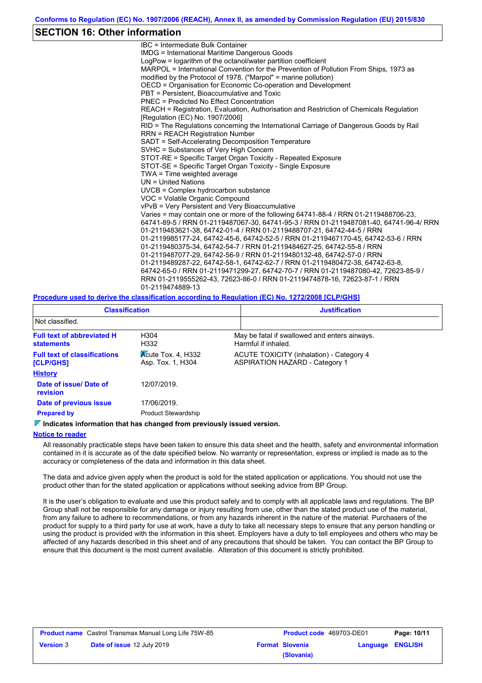### **SECTION 16: Other information**

IBC = Intermediate Bulk Container IMDG = International Maritime Dangerous Goods LogPow = logarithm of the octanol/water partition coefficient MARPOL = International Convention for the Prevention of Pollution From Ships, 1973 as modified by the Protocol of 1978. ("Marpol" = marine pollution) OECD = Organisation for Economic Co-operation and Development PBT = Persistent, Bioaccumulative and Toxic PNEC = Predicted No Effect Concentration REACH = Registration, Evaluation, Authorisation and Restriction of Chemicals Regulation [Regulation (EC) No. 1907/2006] RID = The Regulations concerning the International Carriage of Dangerous Goods by Rail RRN = REACH Registration Number SADT = Self-Accelerating Decomposition Temperature SVHC = Substances of Very High Concern STOT-RE = Specific Target Organ Toxicity - Repeated Exposure STOT-SE = Specific Target Organ Toxicity - Single Exposure TWA = Time weighted average UN = United Nations UVCB = Complex hydrocarbon substance VOC = Volatile Organic Compound vPvB = Very Persistent and Very Bioaccumulative Varies = may contain one or more of the following 64741-88-4 / RRN 01-2119488706-23, 64741-89-5 / RRN 01-2119487067-30, 64741-95-3 / RRN 01-2119487081-40, 64741-96-4/ RRN 01-2119483621-38, 64742-01-4 / RRN 01-2119488707-21, 64742-44-5 / RRN 01-2119985177-24, 64742-45-6, 64742-52-5 / RRN 01-2119467170-45, 64742-53-6 / RRN 01-2119480375-34, 64742-54-7 / RRN 01-2119484627-25, 64742-55-8 / RRN 01-2119487077-29, 64742-56-9 / RRN 01-2119480132-48, 64742-57-0 / RRN 01-2119489287-22, 64742-58-1, 64742-62-7 / RRN 01-2119480472-38, 64742-63-8, 64742-65-0 / RRN 01-2119471299-27, 64742-70-7 / RRN 01-2119487080-42, 72623-85-9 / RRN 01-2119555262-43, 72623-86-0 / RRN 01-2119474878-16, 72623-87-1 / RRN 01-2119474889-13

### **Procedure used to derive the classification according to Regulation (EC) No. 1272/2008 [CLP/GHS]**

| <b>Classification</b>                                   |                                                  | <b>Justification</b>                                                              |
|---------------------------------------------------------|--------------------------------------------------|-----------------------------------------------------------------------------------|
| Not classified.                                         |                                                  |                                                                                   |
| <b>Full text of abbreviated H</b><br><b>statements</b>  | H <sub>304</sub><br>H332                         | May be fatal if swallowed and enters airways.<br>Harmful if inhaled.              |
| <b>Full text of classifications</b><br><b>[CLP/GHS]</b> | $\lambda$ Cute Tox. 4, H332<br>Asp. Tox. 1, H304 | ACUTE TOXICITY (inhalation) - Category 4<br><b>ASPIRATION HAZARD - Category 1</b> |
| <b>History</b>                                          |                                                  |                                                                                   |
| Date of issue/Date of<br>revision                       | 12/07/2019.                                      |                                                                                   |
| Date of previous issue                                  | 17/06/2019.                                      |                                                                                   |
| <b>Prepared by</b>                                      | <b>Product Stewardship</b>                       |                                                                                   |

#### **Indicates information that has changed from previously issued version.**

#### **Notice to reader**

All reasonably practicable steps have been taken to ensure this data sheet and the health, safety and environmental information contained in it is accurate as of the date specified below. No warranty or representation, express or implied is made as to the accuracy or completeness of the data and information in this data sheet.

The data and advice given apply when the product is sold for the stated application or applications. You should not use the product other than for the stated application or applications without seeking advice from BP Group.

It is the user's obligation to evaluate and use this product safely and to comply with all applicable laws and regulations. The BP Group shall not be responsible for any damage or injury resulting from use, other than the stated product use of the material, from any failure to adhere to recommendations, or from any hazards inherent in the nature of the material. Purchasers of the product for supply to a third party for use at work, have a duty to take all necessary steps to ensure that any person handling or using the product is provided with the information in this sheet. Employers have a duty to tell employees and others who may be affected of any hazards described in this sheet and of any precautions that should be taken. You can contact the BP Group to ensure that this document is the most current available. Alteration of this document is strictly prohibited.

|                  | <b>Product name</b> Castrol Transmax Manual Long Life 75W-85 | <b>Product code</b> 469703-DE01 |                  | Page: 10/11 |
|------------------|--------------------------------------------------------------|---------------------------------|------------------|-------------|
| <b>Version 3</b> | <b>Date of issue 12 July 2019</b>                            | <b>Format Slovenia</b>          | Language ENGLISH |             |
|                  |                                                              | (Slovania)                      |                  |             |